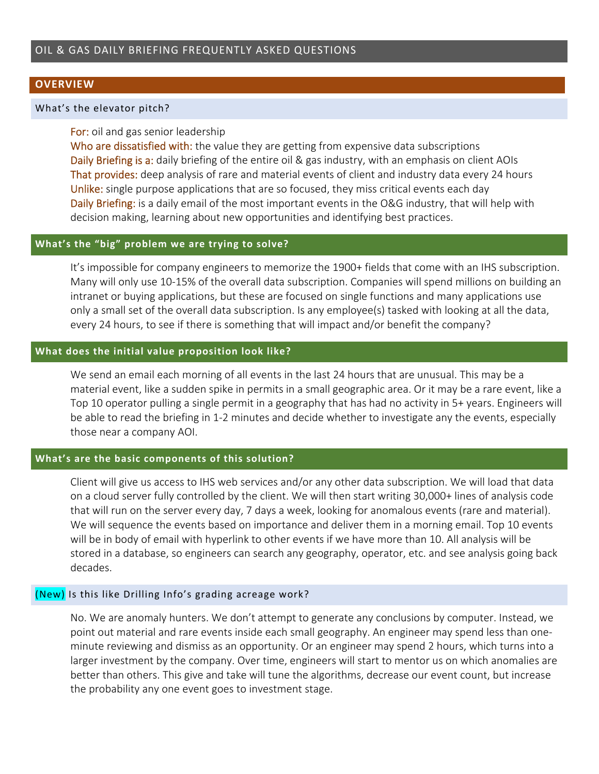### **OVERVIEW**

#### What's the elevator pitch?

### For: oil and gas senior leadership

Who are dissatisfied with: the value they are getting from expensive data subscriptions Daily Briefing is a: daily briefing of the entire oil & gas industry, with an emphasis on client AOIs That provides: deep analysis of rare and material events of client and industry data every 24 hours Unlike: single purpose applications that are so focused, they miss critical events each day Daily Briefing: is a daily email of the most important events in the O&G industry, that will help with decision making, learning about new opportunities and identifying best practices.

# **What's the "big" problem we are trying to solve?**

It's impossible for company engineers to memorize the 1900+ fields that come with an IHS subscription. Many will only use 10‐15% of the overall data subscription. Companies will spend millions on building an intranet or buying applications, but these are focused on single functions and many applications use only a small set of the overall data subscription. Is any employee(s) tasked with looking at all the data, every 24 hours, to see if there is something that will impact and/or benefit the company?

#### **What does the initial value proposition look like?**

We send an email each morning of all events in the last 24 hours that are unusual. This may be a material event, like a sudden spike in permits in a small geographic area. Or it may be a rare event, like a Top 10 operator pulling a single permit in a geography that has had no activity in 5+ years. Engineers will be able to read the briefing in 1‐2 minutes and decide whether to investigate any the events, especially those near a company AOI.

# **What's are the basic components of this solution?**

Client will give us access to IHS web services and/or any other data subscription. We will load that data on a cloud server fully controlled by the client. We will then start writing 30,000+ lines of analysis code that will run on the server every day, 7 days a week, looking for anomalous events (rare and material). We will sequence the events based on importance and deliver them in a morning email. Top 10 events will be in body of email with hyperlink to other events if we have more than 10. All analysis will be stored in a database, so engineers can search any geography, operator, etc. and see analysis going back decades.

### (New) Is this like Drilling Info's grading acreage work?

No. We are anomaly hunters. We don't attempt to generate any conclusions by computer. Instead, we point out material and rare events inside each small geography. An engineer may spend less than one‐ minute reviewing and dismiss as an opportunity. Or an engineer may spend 2 hours, which turns into a larger investment by the company. Over time, engineers will start to mentor us on which anomalies are better than others. This give and take will tune the algorithms, decrease our event count, but increase the probability any one event goes to investment stage.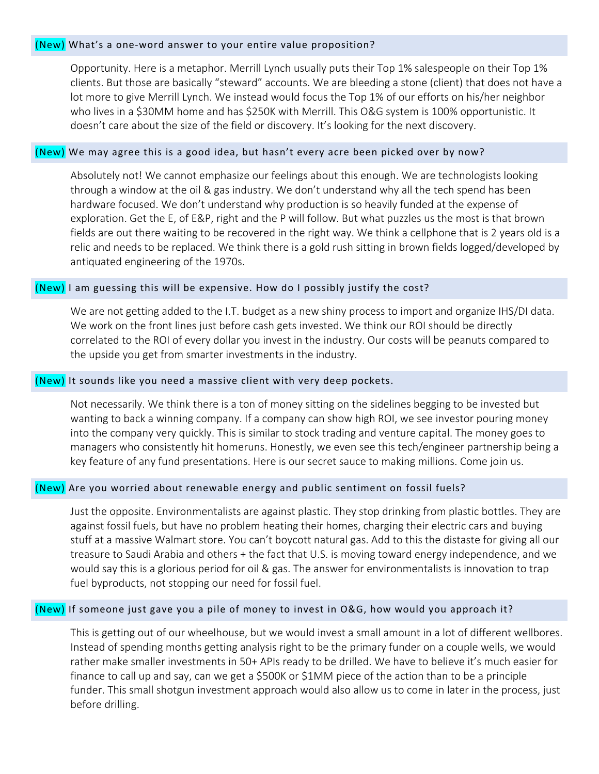# (New) What's a one‐word answer to your entire value proposition?

Opportunity. Here is a metaphor. Merrill Lynch usually puts their Top 1% salespeople on their Top 1% clients. But those are basically "steward" accounts. We are bleeding a stone (client) that does not have a lot more to give Merrill Lynch. We instead would focus the Top 1% of our efforts on his/her neighbor who lives in a \$30MM home and has \$250K with Merrill. This O&G system is 100% opportunistic. It doesn't care about the size of the field or discovery. It's looking for the next discovery.

### (New) We may agree this is a good idea, but hasn't every acre been picked over by now?

Absolutely not! We cannot emphasize our feelings about this enough. We are technologists looking through a window at the oil & gas industry. We don't understand why all the tech spend has been hardware focused. We don't understand why production is so heavily funded at the expense of exploration. Get the E, of E&P, right and the P will follow. But what puzzles us the most is that brown fields are out there waiting to be recovered in the right way. We think a cellphone that is 2 years old is a relic and needs to be replaced. We think there is a gold rush sitting in brown fields logged/developed by antiquated engineering of the 1970s.

# (New) I am guessing this will be expensive. How do I possibly justify the cost?

We are not getting added to the I.T. budget as a new shiny process to import and organize IHS/DI data. We work on the front lines just before cash gets invested. We think our ROI should be directly correlated to the ROI of every dollar you invest in the industry. Our costs will be peanuts compared to the upside you get from smarter investments in the industry.

### (New) It sounds like you need a massive client with very deep pockets.

Not necessarily. We think there is a ton of money sitting on the sidelines begging to be invested but wanting to back a winning company. If a company can show high ROI, we see investor pouring money into the company very quickly. This is similar to stock trading and venture capital. The money goes to managers who consistently hit homeruns. Honestly, we even see this tech/engineer partnership being a key feature of any fund presentations. Here is our secret sauce to making millions. Come join us.

#### (New) Are you worried about renewable energy and public sentiment on fossil fuels?

Just the opposite. Environmentalists are against plastic. They stop drinking from plastic bottles. They are against fossil fuels, but have no problem heating their homes, charging their electric cars and buying stuff at a massive Walmart store. You can't boycott natural gas. Add to this the distaste for giving all our treasure to Saudi Arabia and others + the fact that U.S. is moving toward energy independence, and we would say this is a glorious period for oil & gas. The answer for environmentalists is innovation to trap fuel byproducts, not stopping our need for fossil fuel.

# (New) If someone just gave you a pile of money to invest in O&G, how would you approach it?

This is getting out of our wheelhouse, but we would invest a small amount in a lot of different wellbores. Instead of spending months getting analysis right to be the primary funder on a couple wells, we would rather make smaller investments in 50+ APIs ready to be drilled. We have to believe it's much easier for finance to call up and say, can we get a \$500K or \$1MM piece of the action than to be a principle funder. This small shotgun investment approach would also allow us to come in later in the process, just before drilling.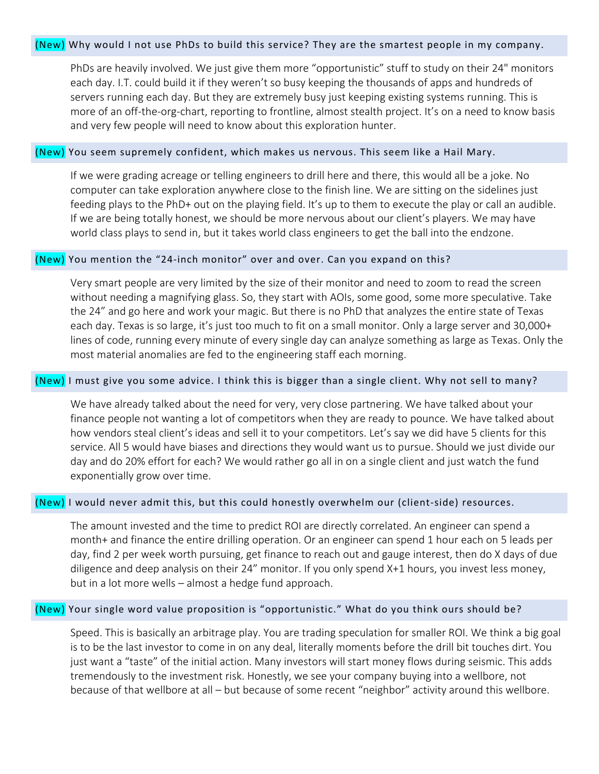# (New) Why would I not use PhDs to build this service? They are the smartest people in my company.

PhDs are heavily involved. We just give them more "opportunistic" stuff to study on their 24" monitors each day. I.T. could build it if they weren't so busy keeping the thousands of apps and hundreds of servers running each day. But they are extremely busy just keeping existing systems running. This is more of an off-the-org-chart, reporting to frontline, almost stealth project. It's on a need to know basis and very few people will need to know about this exploration hunter.

#### (New) You seem supremely confident, which makes us nervous. This seem like a Hail Mary.

If we were grading acreage or telling engineers to drill here and there, this would all be a joke. No computer can take exploration anywhere close to the finish line. We are sitting on the sidelines just feeding plays to the PhD+ out on the playing field. It's up to them to execute the play or call an audible. If we are being totally honest, we should be more nervous about our client's players. We may have world class plays to send in, but it takes world class engineers to get the ball into the endzone.

#### (New) You mention the "24-inch monitor" over and over. Can you expand on this?

Very smart people are very limited by the size of their monitor and need to zoom to read the screen without needing a magnifying glass. So, they start with AOIs, some good, some more speculative. Take the 24" and go here and work your magic. But there is no PhD that analyzes the entire state of Texas each day. Texas is so large, it's just too much to fit on a small monitor. Only a large server and 30,000+ lines of code, running every minute of every single day can analyze something as large as Texas. Only the most material anomalies are fed to the engineering staff each morning.

#### (New) I must give you some advice. I think this is bigger than a single client. Why not sell to many?

We have already talked about the need for very, very close partnering. We have talked about your finance people not wanting a lot of competitors when they are ready to pounce. We have talked about how vendors steal client's ideas and sell it to your competitors. Let's say we did have 5 clients for this service. All 5 would have biases and directions they would want us to pursue. Should we just divide our day and do 20% effort for each? We would rather go all in on a single client and just watch the fund exponentially grow over time.

#### (New) I would never admit this, but this could honestly overwhelm our (client‐side) resources.

The amount invested and the time to predict ROI are directly correlated. An engineer can spend a month+ and finance the entire drilling operation. Or an engineer can spend 1 hour each on 5 leads per day, find 2 per week worth pursuing, get finance to reach out and gauge interest, then do X days of due diligence and deep analysis on their 24" monitor. If you only spend X+1 hours, you invest less money, but in a lot more wells – almost a hedge fund approach.

# (New) Your single word value proposition is "opportunistic." What do you think ours should be?

Speed. This is basically an arbitrage play. You are trading speculation for smaller ROI. We think a big goal is to be the last investor to come in on any deal, literally moments before the drill bit touches dirt. You just want a "taste" of the initial action. Many investors will start money flows during seismic. This adds tremendously to the investment risk. Honestly, we see your company buying into a wellbore, not because of that wellbore at all – but because of some recent "neighbor" activity around this wellbore.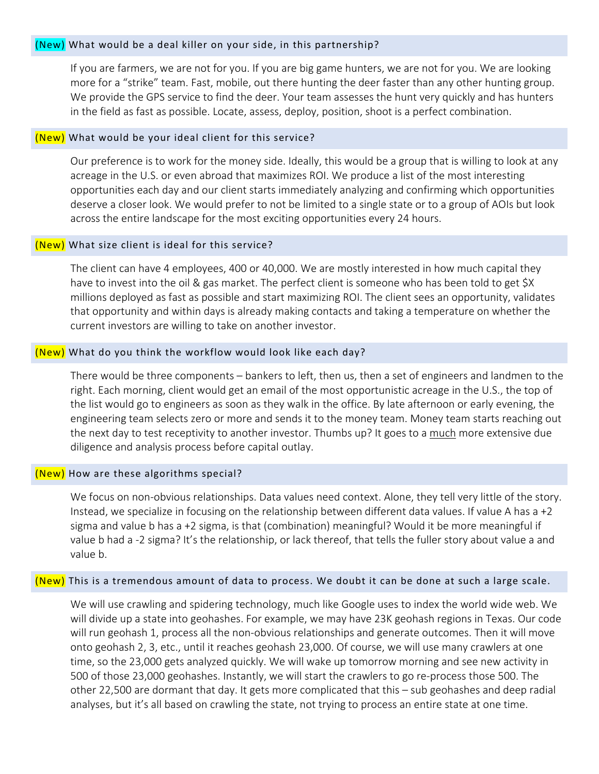# (New) What would be a deal killer on your side, in this partnership?

If you are farmers, we are not for you. If you are big game hunters, we are not for you. We are looking more for a "strike" team. Fast, mobile, out there hunting the deer faster than any other hunting group. We provide the GPS service to find the deer. Your team assesses the hunt very quickly and has hunters in the field as fast as possible. Locate, assess, deploy, position, shoot is a perfect combination.

# (New) What would be your ideal client for this service?

Our preference is to work for the money side. Ideally, this would be a group that is willing to look at any acreage in the U.S. or even abroad that maximizes ROI. We produce a list of the most interesting opportunities each day and our client starts immediately analyzing and confirming which opportunities deserve a closer look. We would prefer to not be limited to a single state or to a group of AOIs but look across the entire landscape for the most exciting opportunities every 24 hours.

# (New) What size client is ideal for this service?

The client can have 4 employees, 400 or 40,000. We are mostly interested in how much capital they have to invest into the oil & gas market. The perfect client is someone who has been told to get \$X millions deployed as fast as possible and start maximizing ROI. The client sees an opportunity, validates that opportunity and within days is already making contacts and taking a temperature on whether the current investors are willing to take on another investor.

# (New) What do you think the workflow would look like each day?

There would be three components – bankers to left, then us, then a set of engineers and landmen to the right. Each morning, client would get an email of the most opportunistic acreage in the U.S., the top of the list would go to engineers as soon as they walk in the office. By late afternoon or early evening, the engineering team selects zero or more and sends it to the money team. Money team starts reaching out the next day to test receptivity to another investor. Thumbs up? It goes to a much more extensive due diligence and analysis process before capital outlay.

# (New) How are these algorithms special?

We focus on non-obvious relationships. Data values need context. Alone, they tell very little of the story. Instead, we specialize in focusing on the relationship between different data values. If value A has a +2 sigma and value b has a +2 sigma, is that (combination) meaningful? Would it be more meaningful if value b had a ‐2 sigma? It's the relationship, or lack thereof, that tells the fuller story about value a and value b.

# (New) This is a tremendous amount of data to process. We doubt it can be done at such a large scale.

We will use crawling and spidering technology, much like Google uses to index the world wide web. We will divide up a state into geohashes. For example, we may have 23K geohash regions in Texas. Our code will run geohash 1, process all the non-obvious relationships and generate outcomes. Then it will move onto geohash 2, 3, etc., until it reaches geohash 23,000. Of course, we will use many crawlers at one time, so the 23,000 gets analyzed quickly. We will wake up tomorrow morning and see new activity in 500 of those 23,000 geohashes. Instantly, we will start the crawlers to go re-process those 500. The other 22,500 are dormant that day. It gets more complicated that this – sub geohashes and deep radial analyses, but it's all based on crawling the state, not trying to process an entire state at one time.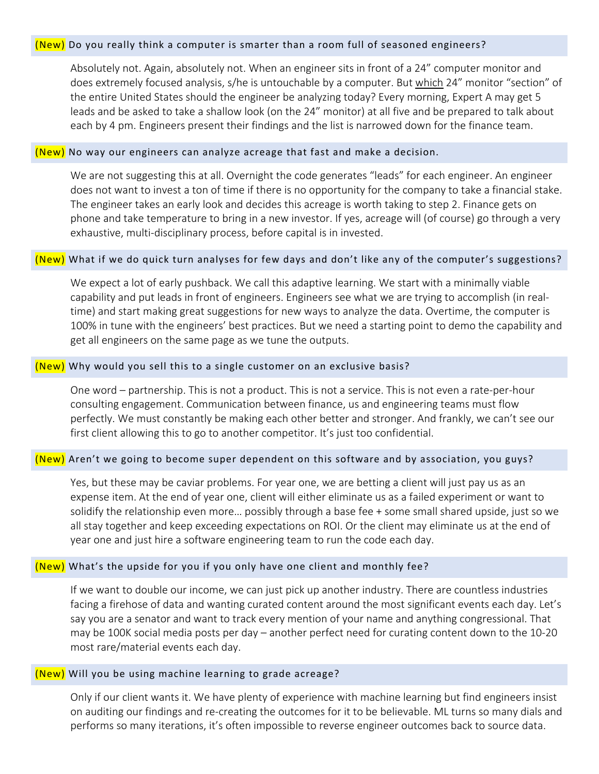# (New) Do you really think a computer is smarter than a room full of seasoned engineers?

Absolutely not. Again, absolutely not. When an engineer sits in front of a 24" computer monitor and does extremely focused analysis, s/he is untouchable by a computer. But which 24" monitor "section" of the entire United States should the engineer be analyzing today? Every morning, Expert A may get 5 leads and be asked to take a shallow look (on the 24" monitor) at all five and be prepared to talk about each by 4 pm. Engineers present their findings and the list is narrowed down for the finance team.

#### (New) No way our engineers can analyze acreage that fast and make a decision.

We are not suggesting this at all. Overnight the code generates "leads" for each engineer. An engineer does not want to invest a ton of time if there is no opportunity for the company to take a financial stake. The engineer takes an early look and decides this acreage is worth taking to step 2. Finance gets on phone and take temperature to bring in a new investor. If yes, acreage will (of course) go through a very exhaustive, multi-disciplinary process, before capital is in invested.

### (New) What if we do quick turn analyses for few days and don't like any of the computer's suggestions?

We expect a lot of early pushback. We call this adaptive learning. We start with a minimally viable capability and put leads in front of engineers. Engineers see what we are trying to accomplish (in real‐ time) and start making great suggestions for new ways to analyze the data. Overtime, the computer is 100% in tune with the engineers' best practices. But we need a starting point to demo the capability and get all engineers on the same page as we tune the outputs.

# (New) Why would you sell this to a single customer on an exclusive basis?

One word – partnership. This is not a product. This is not a service. This is not even a rate‐per‐hour consulting engagement. Communication between finance, us and engineering teams must flow perfectly. We must constantly be making each other better and stronger. And frankly, we can't see our first client allowing this to go to another competitor. It's just too confidential.

# (New) Aren't we going to become super dependent on this software and by association, you guys?

Yes, but these may be caviar problems. For year one, we are betting a client will just pay us as an expense item. At the end of year one, client will either eliminate us as a failed experiment or want to solidify the relationship even more… possibly through a base fee + some small shared upside, just so we all stay together and keep exceeding expectations on ROI. Or the client may eliminate us at the end of year one and just hire a software engineering team to run the code each day.

# (New) What's the upside for you if you only have one client and monthly fee?

If we want to double our income, we can just pick up another industry. There are countless industries facing a firehose of data and wanting curated content around the most significant events each day. Let's say you are a senator and want to track every mention of your name and anything congressional. That may be 100K social media posts per day – another perfect need for curating content down to the 10‐20 most rare/material events each day.

# (New) Will you be using machine learning to grade acreage?

Only if our client wants it. We have plenty of experience with machine learning but find engineers insist on auditing our findings and re‐creating the outcomes for it to be believable. ML turns so many dials and performs so many iterations, it's often impossible to reverse engineer outcomes back to source data.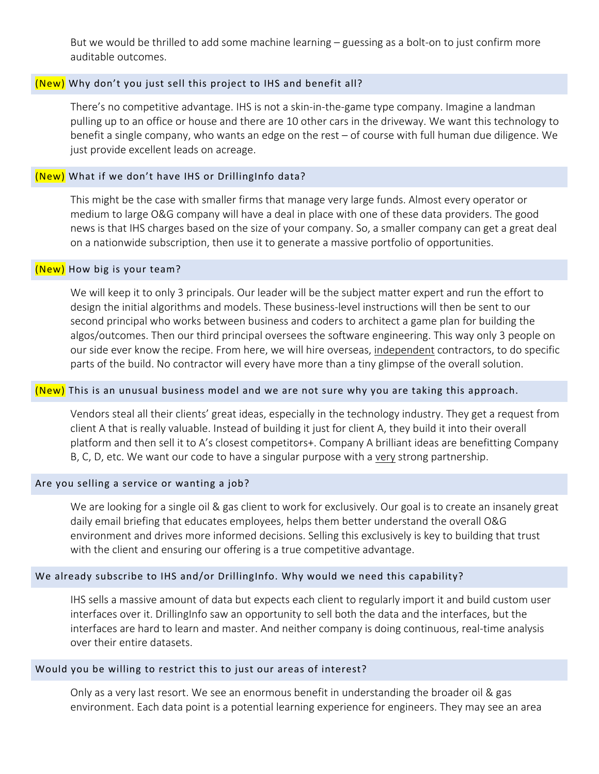But we would be thrilled to add some machine learning – guessing as a bolt‐on to just confirm more auditable outcomes.

# (New) Why don't you just sell this project to IHS and benefit all?

There's no competitive advantage. IHS is not a skin‐in‐the‐game type company. Imagine a landman pulling up to an office or house and there are 10 other cars in the driveway. We want this technology to benefit a single company, who wants an edge on the rest – of course with full human due diligence. We just provide excellent leads on acreage.

# (New) What if we don't have IHS or DrillingInfo data?

This might be the case with smaller firms that manage very large funds. Almost every operator or medium to large O&G company will have a deal in place with one of these data providers. The good news is that IHS charges based on the size of your company. So, a smaller company can get a great deal on a nationwide subscription, then use it to generate a massive portfolio of opportunities.

### (New) How big is your team?

We will keep it to only 3 principals. Our leader will be the subject matter expert and run the effort to design the initial algorithms and models. These business‐level instructions will then be sent to our second principal who works between business and coders to architect a game plan for building the algos/outcomes. Then our third principal oversees the software engineering. This way only 3 people on our side ever know the recipe. From here, we will hire overseas, independent contractors, to do specific parts of the build. No contractor will every have more than a tiny glimpse of the overall solution.

#### <mark>(New)</mark> This is an unusual business model and we are not sure why you are taking this approach.

Vendors steal all their clients' great ideas, especially in the technology industry. They get a request from client A that is really valuable. Instead of building it just for client A, they build it into their overall platform and then sell it to A's closest competitors+. Company A brilliant ideas are benefitting Company B, C, D, etc. We want our code to have a singular purpose with a very strong partnership.

### Are you selling a service or wanting a job?

We are looking for a single oil & gas client to work for exclusively. Our goal is to create an insanely great daily email briefing that educates employees, helps them better understand the overall O&G environment and drives more informed decisions. Selling this exclusively is key to building that trust with the client and ensuring our offering is a true competitive advantage.

#### We already subscribe to IHS and/or DrillingInfo. Why would we need this capability?

IHS sells a massive amount of data but expects each client to regularly import it and build custom user interfaces over it. DrillingInfo saw an opportunity to sell both the data and the interfaces, but the interfaces are hard to learn and master. And neither company is doing continuous, real-time analysis over their entire datasets.

### Would you be willing to restrict this to just our areas of interest?

Only as a very last resort. We see an enormous benefit in understanding the broader oil & gas environment. Each data point is a potential learning experience for engineers. They may see an area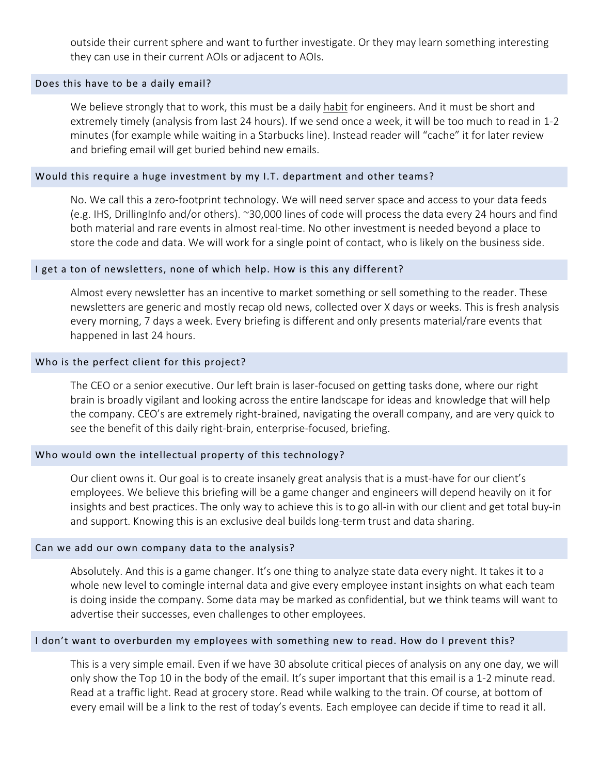outside their current sphere and want to further investigate. Or they may learn something interesting they can use in their current AOIs or adjacent to AOIs.

### Does this have to be a daily email?

We believe strongly that to work, this must be a daily habit for engineers. And it must be short and extremely timely (analysis from last 24 hours). If we send once a week, it will be too much to read in 1‐2 minutes (for example while waiting in a Starbucks line). Instead reader will "cache" it for later review and briefing email will get buried behind new emails.

### Would this require a huge investment by my I.T. department and other teams?

No. We call this a zero‐footprint technology. We will need server space and access to your data feeds (e.g. IHS, DrillingInfo and/or others). ~30,000 lines of code will process the data every 24 hours and find both material and rare events in almost real‐time. No other investment is needed beyond a place to store the code and data. We will work for a single point of contact, who is likely on the business side.

### I get a ton of newsletters, none of which help. How is this any different?

Almost every newsletter has an incentive to market something or sell something to the reader. These newsletters are generic and mostly recap old news, collected over X days or weeks. This is fresh analysis every morning, 7 days a week. Every briefing is different and only presents material/rare events that happened in last 24 hours.

#### Who is the perfect client for this project?

The CEO or a senior executive. Our left brain is laser‐focused on getting tasks done, where our right brain is broadly vigilant and looking across the entire landscape for ideas and knowledge that will help the company. CEO's are extremely right‐brained, navigating the overall company, and are very quick to see the benefit of this daily right‐brain, enterprise‐focused, briefing.

# Who would own the intellectual property of this technology?

Our client owns it. Our goal is to create insanely great analysis that is a must-have for our client's employees. We believe this briefing will be a game changer and engineers will depend heavily on it for insights and best practices. The only way to achieve this is to go all‐in with our client and get total buy‐in and support. Knowing this is an exclusive deal builds long-term trust and data sharing.

### Can we add our own company data to the analysis?

Absolutely. And this is a game changer. It's one thing to analyze state data every night. It takes it to a whole new level to comingle internal data and give every employee instant insights on what each team is doing inside the company. Some data may be marked as confidential, but we think teams will want to advertise their successes, even challenges to other employees.

#### I don't want to overburden my employees with something new to read. How do I prevent this?

This is a very simple email. Even if we have 30 absolute critical pieces of analysis on any one day, we will only show the Top 10 in the body of the email. It's super important that this email is a 1‐2 minute read. Read at a traffic light. Read at grocery store. Read while walking to the train. Of course, at bottom of every email will be a link to the rest of today's events. Each employee can decide if time to read it all.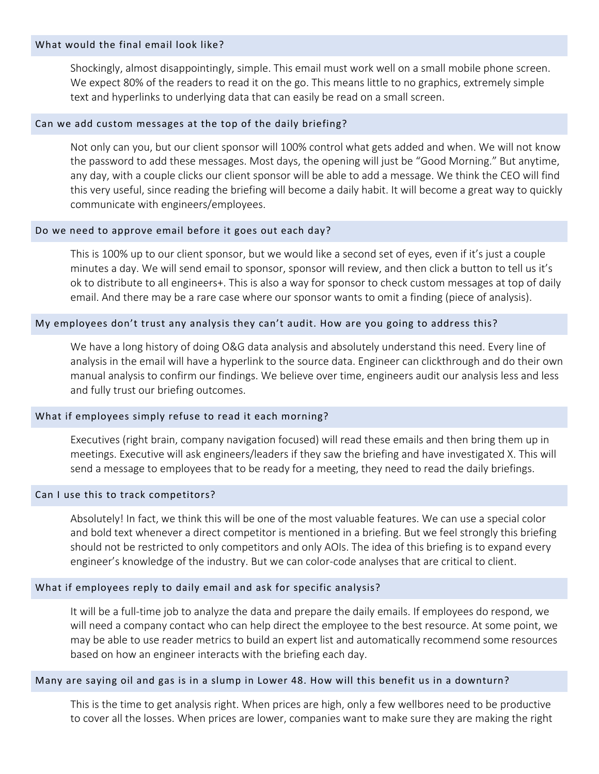#### What would the final email look like?

Shockingly, almost disappointingly, simple. This email must work well on a small mobile phone screen. We expect 80% of the readers to read it on the go. This means little to no graphics, extremely simple text and hyperlinks to underlying data that can easily be read on a small screen.

### Can we add custom messages at the top of the daily briefing?

Not only can you, but our client sponsor will 100% control what gets added and when. We will not know the password to add these messages. Most days, the opening will just be "Good Morning." But anytime, any day, with a couple clicks our client sponsor will be able to add a message. We think the CEO will find this very useful, since reading the briefing will become a daily habit. It will become a great way to quickly communicate with engineers/employees.

### Do we need to approve email before it goes out each day?

This is 100% up to our client sponsor, but we would like a second set of eyes, even if it's just a couple minutes a day. We will send email to sponsor, sponsor will review, and then click a button to tell us it's ok to distribute to all engineers+. This is also a way for sponsor to check custom messages at top of daily email. And there may be a rare case where our sponsor wants to omit a finding (piece of analysis).

# My employees don't trust any analysis they can't audit. How are you going to address this?

We have a long history of doing O&G data analysis and absolutely understand this need. Every line of analysis in the email will have a hyperlink to the source data. Engineer can clickthrough and do their own manual analysis to confirm our findings. We believe over time, engineers audit our analysis less and less and fully trust our briefing outcomes.

# What if employees simply refuse to read it each morning?

Executives (right brain, company navigation focused) will read these emails and then bring them up in meetings. Executive will ask engineers/leaders if they saw the briefing and have investigated X. This will send a message to employees that to be ready for a meeting, they need to read the daily briefings.

#### Can I use this to track competitors?

Absolutely! In fact, we think this will be one of the most valuable features. We can use a special color and bold text whenever a direct competitor is mentioned in a briefing. But we feel strongly this briefing should not be restricted to only competitors and only AOIs. The idea of this briefing is to expand every engineer's knowledge of the industry. But we can color‐code analyses that are critical to client.

# What if employees reply to daily email and ask for specific analysis?

It will be a full‐time job to analyze the data and prepare the daily emails. If employees do respond, we will need a company contact who can help direct the employee to the best resource. At some point, we may be able to use reader metrics to build an expert list and automatically recommend some resources based on how an engineer interacts with the briefing each day.

#### Many are saying oil and gas is in a slump in Lower 48. How will this benefit us in a downturn?

This is the time to get analysis right. When prices are high, only a few wellbores need to be productive to cover all the losses. When prices are lower, companies want to make sure they are making the right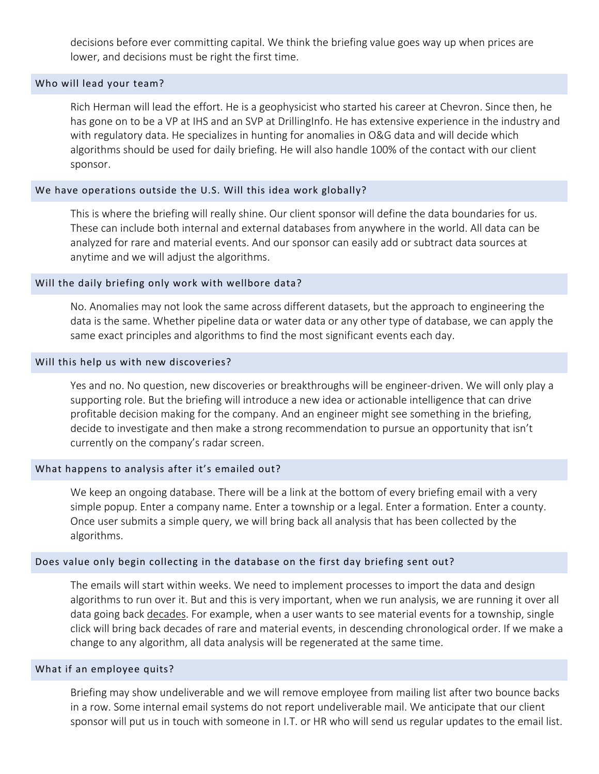decisions before ever committing capital. We think the briefing value goes way up when prices are lower, and decisions must be right the first time.

### Who will lead your team?

Rich Herman will lead the effort. He is a geophysicist who started his career at Chevron. Since then, he has gone on to be a VP at IHS and an SVP at DrillingInfo. He has extensive experience in the industry and with regulatory data. He specializes in hunting for anomalies in O&G data and will decide which algorithms should be used for daily briefing. He will also handle 100% of the contact with our client sponsor.

# We have operations outside the U.S. Will this idea work globally?

This is where the briefing will really shine. Our client sponsor will define the data boundaries for us. These can include both internal and external databases from anywhere in the world. All data can be analyzed for rare and material events. And our sponsor can easily add or subtract data sources at anytime and we will adjust the algorithms.

#### Will the daily briefing only work with wellbore data?

No. Anomalies may not look the same across different datasets, but the approach to engineering the data is the same. Whether pipeline data or water data or any other type of database, we can apply the same exact principles and algorithms to find the most significant events each day.

#### Will this help us with new discoveries?

Yes and no. No question, new discoveries or breakthroughs will be engineer‐driven. We will only play a supporting role. But the briefing will introduce a new idea or actionable intelligence that can drive profitable decision making for the company. And an engineer might see something in the briefing, decide to investigate and then make a strong recommendation to pursue an opportunity that isn't currently on the company's radar screen.

#### What happens to analysis after it's emailed out?

We keep an ongoing database. There will be a link at the bottom of every briefing email with a very simple popup. Enter a company name. Enter a township or a legal. Enter a formation. Enter a county. Once user submits a simple query, we will bring back all analysis that has been collected by the algorithms.

#### Does value only begin collecting in the database on the first day briefing sent out?

The emails will start within weeks. We need to implement processes to import the data and design algorithms to run over it. But and this is very important, when we run analysis, we are running it over all data going back decades. For example, when a user wants to see material events for a township, single click will bring back decades of rare and material events, in descending chronological order. If we make a change to any algorithm, all data analysis will be regenerated at the same time.

#### What if an employee quits?

Briefing may show undeliverable and we will remove employee from mailing list after two bounce backs in a row. Some internal email systems do not report undeliverable mail. We anticipate that our client sponsor will put us in touch with someone in I.T. or HR who will send us regular updates to the email list.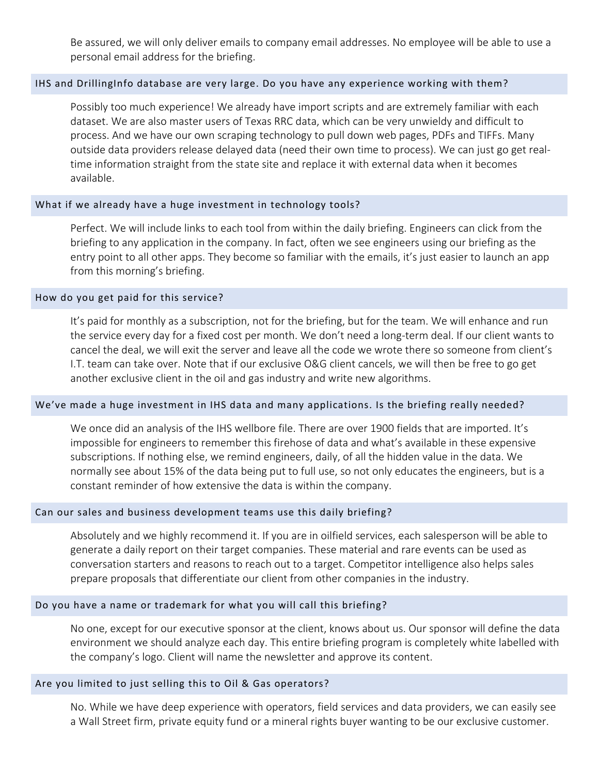Be assured, we will only deliver emails to company email addresses. No employee will be able to use a personal email address for the briefing.

# IHS and DrillingInfo database are very large. Do you have any experience working with them?

Possibly too much experience! We already have import scripts and are extremely familiar with each dataset. We are also master users of Texas RRC data, which can be very unwieldy and difficult to process. And we have our own scraping technology to pull down web pages, PDFs and TIFFs. Many outside data providers release delayed data (need their own time to process). We can just go get real‐ time information straight from the state site and replace it with external data when it becomes available.

# What if we already have a huge investment in technology tools?

Perfect. We will include links to each tool from within the daily briefing. Engineers can click from the briefing to any application in the company. In fact, often we see engineers using our briefing as the entry point to all other apps. They become so familiar with the emails, it's just easier to launch an app from this morning's briefing.

# How do you get paid for this service?

It's paid for monthly as a subscription, not for the briefing, but for the team. We will enhance and run the service every day for a fixed cost per month. We don't need a long‐term deal. If our client wants to cancel the deal, we will exit the server and leave all the code we wrote there so someone from client's I.T. team can take over. Note that if our exclusive O&G client cancels, we will then be free to go get another exclusive client in the oil and gas industry and write new algorithms.

# We've made a huge investment in IHS data and many applications. Is the briefing really needed?

We once did an analysis of the IHS wellbore file. There are over 1900 fields that are imported. It's impossible for engineers to remember this firehose of data and what's available in these expensive subscriptions. If nothing else, we remind engineers, daily, of all the hidden value in the data. We normally see about 15% of the data being put to full use, so not only educates the engineers, but is a constant reminder of how extensive the data is within the company.

# Can our sales and business development teams use this daily briefing?

Absolutely and we highly recommend it. If you are in oilfield services, each salesperson will be able to generate a daily report on their target companies. These material and rare events can be used as conversation starters and reasons to reach out to a target. Competitor intelligence also helps sales prepare proposals that differentiate our client from other companies in the industry.

# Do you have a name or trademark for what you will call this briefing?

No one, except for our executive sponsor at the client, knows about us. Our sponsor will define the data environment we should analyze each day. This entire briefing program is completely white labelled with the company's logo. Client will name the newsletter and approve its content.

# Are you limited to just selling this to Oil & Gas operators?

No. While we have deep experience with operators, field services and data providers, we can easily see a Wall Street firm, private equity fund or a mineral rights buyer wanting to be our exclusive customer.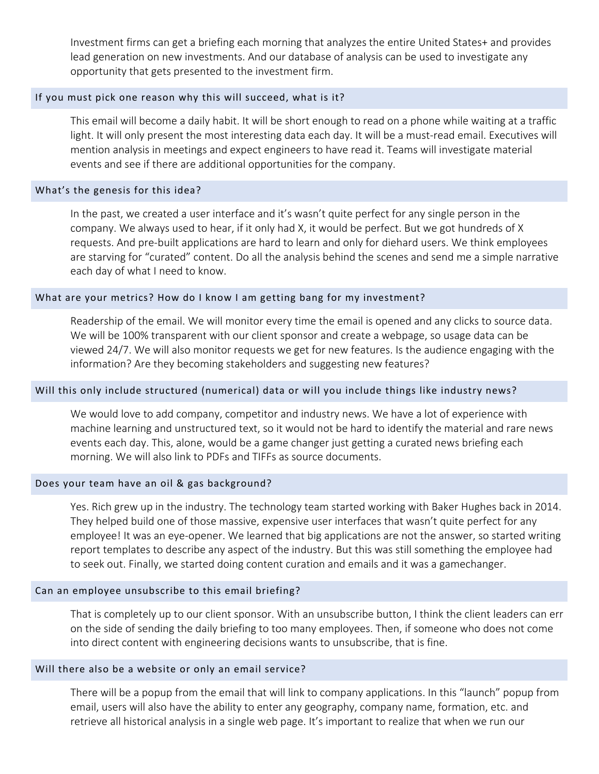Investment firms can get a briefing each morning that analyzes the entire United States+ and provides lead generation on new investments. And our database of analysis can be used to investigate any opportunity that gets presented to the investment firm.

### If you must pick one reason why this will succeed, what is it?

This email will become a daily habit. It will be short enough to read on a phone while waiting at a traffic light. It will only present the most interesting data each day. It will be a must-read email. Executives will mention analysis in meetings and expect engineers to have read it. Teams will investigate material events and see if there are additional opportunities for the company.

### What's the genesis for this idea?

In the past, we created a user interface and it's wasn't quite perfect for any single person in the company. We always used to hear, if it only had X, it would be perfect. But we got hundreds of X requests. And pre‐built applications are hard to learn and only for diehard users. We think employees are starving for "curated" content. Do all the analysis behind the scenes and send me a simple narrative each day of what I need to know.

# What are your metrics? How do I know I am getting bang for my investment?

Readership of the email. We will monitor every time the email is opened and any clicks to source data. We will be 100% transparent with our client sponsor and create a webpage, so usage data can be viewed 24/7. We will also monitor requests we get for new features. Is the audience engaging with the information? Are they becoming stakeholders and suggesting new features?

#### Will this only include structured (numerical) data or will you include things like industry news?

We would love to add company, competitor and industry news. We have a lot of experience with machine learning and unstructured text, so it would not be hard to identify the material and rare news events each day. This, alone, would be a game changer just getting a curated news briefing each morning. We will also link to PDFs and TIFFs as source documents.

#### Does your team have an oil & gas background?

Yes. Rich grew up in the industry. The technology team started working with Baker Hughes back in 2014. They helped build one of those massive, expensive user interfaces that wasn't quite perfect for any employee! It was an eye‐opener. We learned that big applications are not the answer, so started writing report templates to describe any aspect of the industry. But this was still something the employee had to seek out. Finally, we started doing content curation and emails and it was a gamechanger.

#### Can an employee unsubscribe to this email briefing?

That is completely up to our client sponsor. With an unsubscribe button, I think the client leaders can err on the side of sending the daily briefing to too many employees. Then, if someone who does not come into direct content with engineering decisions wants to unsubscribe, that is fine.

#### Will there also be a website or only an email service?

There will be a popup from the email that will link to company applications. In this "launch" popup from email, users will also have the ability to enter any geography, company name, formation, etc. and retrieve all historical analysis in a single web page. It's important to realize that when we run our